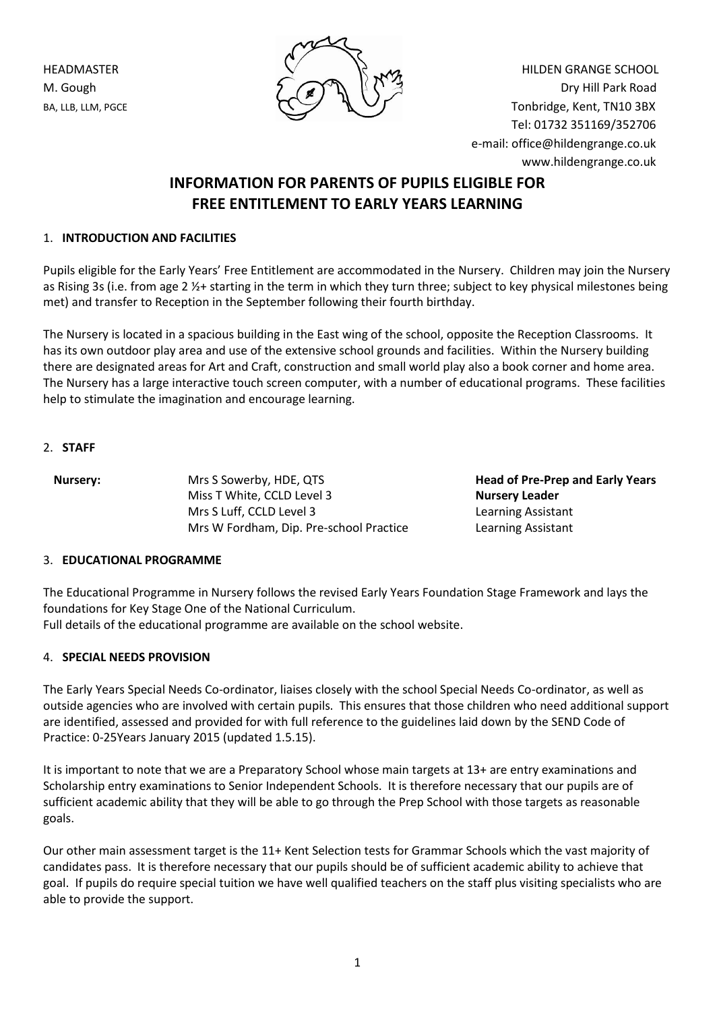

HEADMASTER  $\vee$   $\vee$   $\vee$   $\vee$   $\vee$   $\vee$   $\vee$  HILDEN GRANGE SCHOOL M. Gough  $\begin{array}{ccc} \text{M. Gough} & \text{M. Gough} \\ \text{M. Gough} & \text{M. Gough} \end{array}$ BA, LLB, LLM, PGCE  $\bigcap_{\alpha} \bigcup_{\alpha} \bigcup_{\alpha} \bigcup_{\beta} \bigcap_{\alpha}$  Tonbridge, Kent, TN10 3BX Tel: 01732 351169/352706 e-mail: office@hildengrange.co.uk www.hildengrange.co.uk

# **INFORMATION FOR PARENTS OF PUPILS ELIGIBLE FOR FREE ENTITLEMENT TO EARLY YEARS LEARNING**

# 1. **INTRODUCTION AND FACILITIES**

Pupils eligible for the Early Years' Free Entitlement are accommodated in the Nursery. Children may join the Nursery as Rising 3s (i.e. from age 2 ½+ starting in the term in which they turn three; subject to key physical milestones being met) and transfer to Reception in the September following their fourth birthday.

The Nursery is located in a spacious building in the East wing of the school, opposite the Reception Classrooms. It has its own outdoor play area and use of the extensive school grounds and facilities. Within the Nursery building there are designated areas for Art and Craft, construction and small world play also a book corner and home area. The Nursery has a large interactive touch screen computer, with a number of educational programs. These facilities help to stimulate the imagination and encourage learning.

# 2. **STAFF**

| Nursery: | Mrs S Sowerby, HDE, QTS                 |
|----------|-----------------------------------------|
|          | Miss T White, CCLD Level 3              |
|          | Mrs S Luff, CCLD Level 3                |
|          | Mrs W Fordham, Dip. Pre-school Practice |

**Head of Pre-Prep and Early Years Nursery Leader** Learning Assistant Learning Assistant

# 3. **EDUCATIONAL PROGRAMME**

The Educational Programme in Nursery follows the revised Early Years Foundation Stage Framework and lays the foundations for Key Stage One of the National Curriculum. Full details of the educational programme are available on the school website.

# 4. **SPECIAL NEEDS PROVISION**

The Early Years Special Needs Co-ordinator, liaises closely with the school Special Needs Co-ordinator, as well as outside agencies who are involved with certain pupils. This ensures that those children who need additional support are identified, assessed and provided for with full reference to the guidelines laid down by the SEND Code of Practice: 0-25Years January 2015 (updated 1.5.15).

It is important to note that we are a Preparatory School whose main targets at 13+ are entry examinations and Scholarship entry examinations to Senior Independent Schools. It is therefore necessary that our pupils are of sufficient academic ability that they will be able to go through the Prep School with those targets as reasonable goals.

Our other main assessment target is the 11+ Kent Selection tests for Grammar Schools which the vast majority of candidates pass. It is therefore necessary that our pupils should be of sufficient academic ability to achieve that goal. If pupils do require special tuition we have well qualified teachers on the staff plus visiting specialists who are able to provide the support.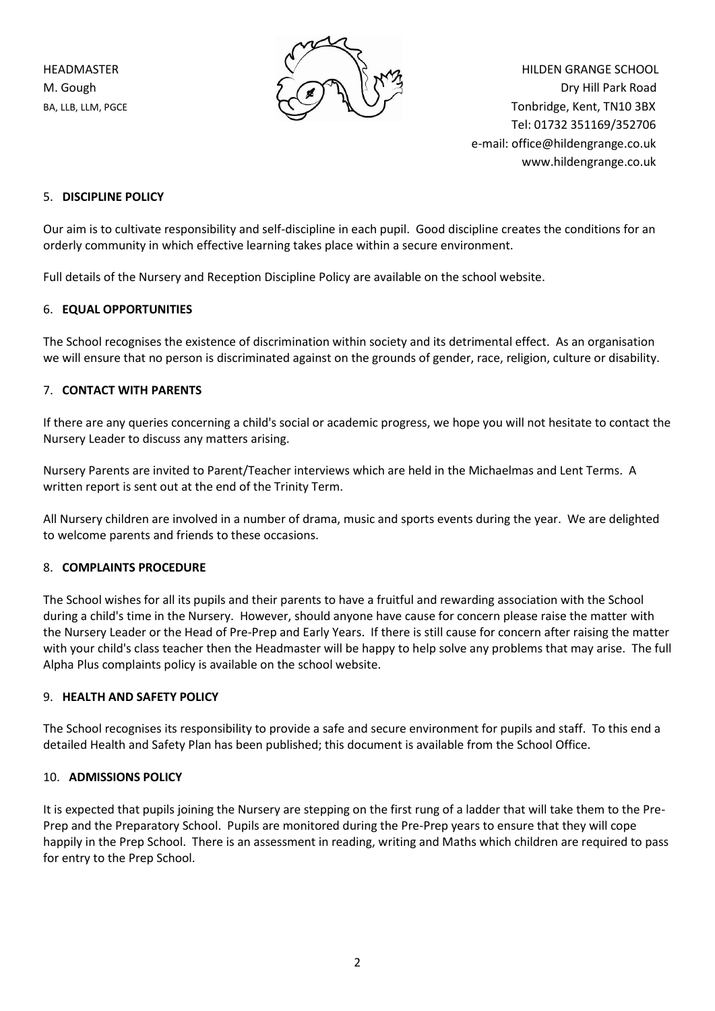

HEADMASTER  $\vee$   $\vee$   $\vee$   $\vee$   $\vee$   $\vee$   $\vee$  HILDEN GRANGE SCHOOL M. Gough  $\begin{array}{ccc} \text{M. Gough} & \text{M. Gough} \\ \text{M. Gough} & \text{M. Gough} \end{array}$ BA, LLB, LLM, PGCE  $\bigcap_{\alpha} \bigcup_{\alpha} \bigcup_{\alpha} \bigcup_{\beta} \bigcup_{\beta} \bigcap_{\beta}$  Tonbridge, Kent, TN10 3BX Tel: 01732 351169/352706 e-mail: office@hildengrange.co.uk www.hildengrange.co.uk

## 5. **DISCIPLINE POLICY**

Our aim is to cultivate responsibility and self-discipline in each pupil. Good discipline creates the conditions for an orderly community in which effective learning takes place within a secure environment.

Full details of the Nursery and Reception Discipline Policy are available on the school website.

## 6. **EQUAL OPPORTUNITIES**

The School recognises the existence of discrimination within society and its detrimental effect. As an organisation we will ensure that no person is discriminated against on the grounds of gender, race, religion, culture or disability.

## 7. **CONTACT WITH PARENTS**

If there are any queries concerning a child's social or academic progress, we hope you will not hesitate to contact the Nursery Leader to discuss any matters arising.

Nursery Parents are invited to Parent/Teacher interviews which are held in the Michaelmas and Lent Terms. A written report is sent out at the end of the Trinity Term.

All Nursery children are involved in a number of drama, music and sports events during the year. We are delighted to welcome parents and friends to these occasions.

#### 8. **COMPLAINTS PROCEDURE**

The School wishes for all its pupils and their parents to have a fruitful and rewarding association with the School during a child's time in the Nursery. However, should anyone have cause for concern please raise the matter with the Nursery Leader or the Head of Pre-Prep and Early Years. If there is still cause for concern after raising the matter with your child's class teacher then the Headmaster will be happy to help solve any problems that may arise. The full Alpha Plus complaints policy is available on the school website.

#### 9. **HEALTH AND SAFETY POLICY**

The School recognises its responsibility to provide a safe and secure environment for pupils and staff. To this end a detailed Health and Safety Plan has been published; this document is available from the School Office.

#### 10. **ADMISSIONS POLICY**

It is expected that pupils joining the Nursery are stepping on the first rung of a ladder that will take them to the Pre-Prep and the Preparatory School. Pupils are monitored during the Pre-Prep years to ensure that they will cope happily in the Prep School. There is an assessment in reading, writing and Maths which children are required to pass for entry to the Prep School.